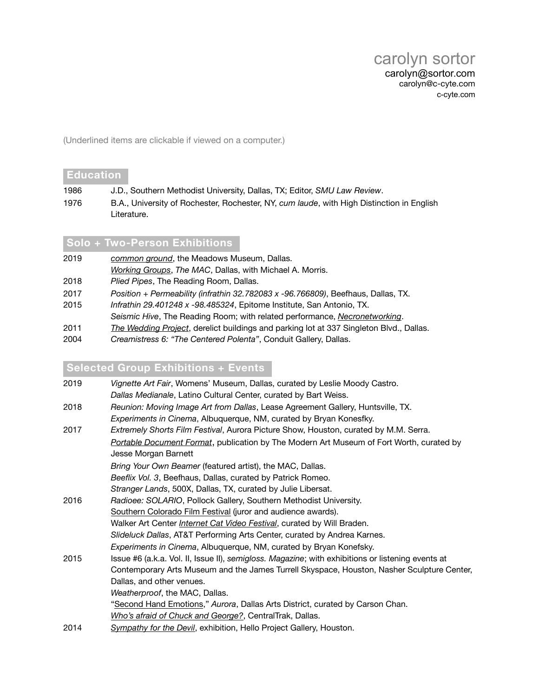(Underlined items are clickable if viewed on a computer.)

#### **Education**

- 1986 J.D., Southern Methodist University, Dallas, TX; Editor, *SMU Law Review*.
- 1976 B.A., University of Rochester, Rochester, NY, *cum laude*, with High Distinction in English Literature.

#### **Solo + Two-Person Exhibitions**

- 2019 *[common ground](http://www.c-cyte.com/common_ground)*, the Meadows Museum, Dallas.
- *[Working Groups](http://www.c-cyte.com/Working_Groups/index.html)*, *The MAC*, Dallas, with Michael A. Morris.
- 2018 *Plied Pipes*, The Reading Room, Dallas.
- 2017 *Position + Permeability (infrathin 32.782083 x -96.766809)*, Beefhaus, Dallas, TX.
- 2015 *Infrathin 29.401248 x -98.485324*, Epitome Institute, San Antonio, TX. *Seismic Hive*, The Reading Room; with related performance, *[Necronetworking](https://www.facebook.com/events/794357280652956/)*.
- 2011 *[The Wedding Project](http://www.c-cyte.com/The_Wedding_Project/index.html)*, derelict buildings and parking lot at 337 Singleton Blvd., Dallas.
- 2004 *Creamistress 6: "The Centered Polenta"*, Conduit Gallery, Dallas.

#### **Selected Group Exhibitions + Events**

| 2019 | Vignette Art Fair, Womens' Museum, Dallas, curated by Leslie Moody Castro.<br>Dallas Medianale, Latino Cultural Center, curated by Bart Weiss.        |
|------|-------------------------------------------------------------------------------------------------------------------------------------------------------|
| 2018 | Reunion: Moving Image Art from Dallas, Lease Agreement Gallery, Huntsville, TX.<br>Experiments in Cinema, Albuquerque, NM, curated by Bryan Konesfky. |
| 2017 | Extremely Shorts Film Festival, Aurora Picture Show, Houston, curated by M.M. Serra.                                                                  |
|      | Portable Document Format, publication by The Modern Art Museum of Fort Worth, curated by<br>Jesse Morgan Barnett                                      |
|      | Bring Your Own Beamer (featured artist), the MAC, Dallas.                                                                                             |
|      | Beeflix Vol. 3, Beefhaus, Dallas, curated by Patrick Romeo.                                                                                           |
|      | Stranger Lands, 500X, Dallas, TX, curated by Julie Libersat.                                                                                          |
| 2016 | Radioee: SOLARIO, Pollock Gallery, Southern Methodist University.                                                                                     |
|      | Southern Colorado Film Festival (juror and audience awards).                                                                                          |
|      | Walker Art Center <i>Internet Cat Video Festival</i> , curated by Will Braden.                                                                        |
|      | Slideluck Dallas, AT&T Performing Arts Center, curated by Andrea Karnes.                                                                              |
|      | Experiments in Cinema, Albuquerque, NM, curated by Bryan Konefsky.                                                                                    |
| 2015 | Issue #6 (a.k.a. Vol. II, Issue II), semigloss. Magazine; with exhibitions or listening events at                                                     |
|      | Contemporary Arts Museum and the James Turrell Skyspace, Houston, Nasher Sculpture Center,                                                            |
|      | Dallas, and other venues.                                                                                                                             |
|      | Weatherproof, the MAC, Dallas.                                                                                                                        |
|      | "Second Hand Emotions," Aurora, Dallas Arts District, curated by Carson Chan.                                                                         |
|      | Who's afraid of Chuck and George?, CentralTrak, Dallas.                                                                                               |
| 2014 | Sympathy for the Devil, exhibition, Hello Project Gallery, Houston.                                                                                   |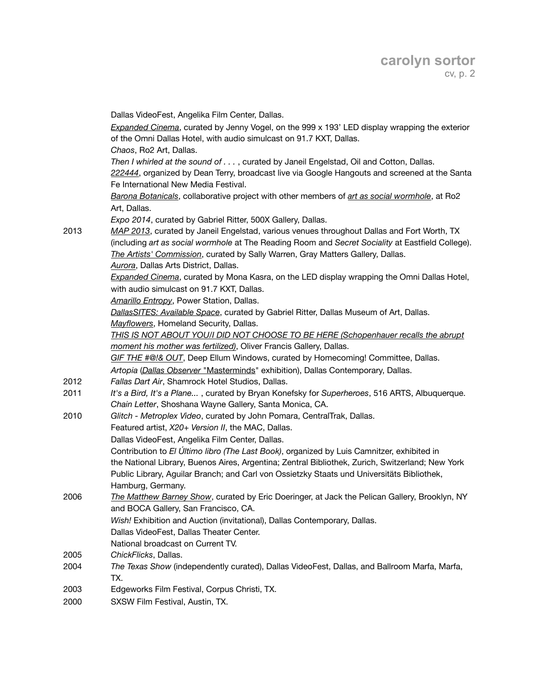|      | Dallas VideoFest, Angelika Film Center, Dallas.                                                                    |
|------|--------------------------------------------------------------------------------------------------------------------|
|      | Expanded Cinema, curated by Jenny Vogel, on the 999 x 193' LED display wrapping the exterior                       |
|      | of the Omni Dallas Hotel, with audio simulcast on 91.7 KXT, Dallas.                                                |
|      | Chaos, Ro2 Art, Dallas.                                                                                            |
|      | Then I whirled at the sound of , curated by Janeil Engelstad, Oil and Cotton, Dallas.                              |
|      | 222444, organized by Dean Terry, broadcast live via Google Hangouts and screened at the Santa                      |
|      | Fe International New Media Festival.                                                                               |
|      | Barona Botanicals, collaborative project with other members of art as social wormhole, at Ro2                      |
|      | Art, Dallas.                                                                                                       |
|      | Expo 2014, curated by Gabriel Ritter, 500X Gallery, Dallas.                                                        |
| 2013 | MAP 2013, curated by Janeil Engelstad, various venues throughout Dallas and Fort Worth, TX                         |
|      | (including art as social wormhole at The Reading Room and Secret Sociality at Eastfield College).                  |
|      | The Artists' Commission, curated by Sally Warren, Gray Matters Gallery, Dallas.                                    |
|      | Aurora, Dallas Arts District, Dallas.                                                                              |
|      | Expanded Cinema, curated by Mona Kasra, on the LED display wrapping the Omni Dallas Hotel,                         |
|      | with audio simulcast on 91.7 KXT, Dallas.                                                                          |
|      | <b>Amarillo Entropy, Power Station, Dallas.</b>                                                                    |
|      | DallasSITES: Available Space, curated by Gabriel Ritter, Dallas Museum of Art, Dallas.                             |
|      | Mayflowers, Homeland Security, Dallas.                                                                             |
|      | THIS IS NOT ABOUT YOU/I DID NOT CHOOSE TO BE HERE (Schopenhauer recalls the abrupt                                 |
|      | moment his mother was fertilized), Oliver Francis Gallery, Dallas.                                                 |
|      | GIF THE #@!& OUT, Deep Ellum Windows, curated by Homecoming! Committee, Dallas.                                    |
|      | Artopia (Dallas Observer "Masterminds" exhibition), Dallas Contemporary, Dallas.                                   |
| 2012 | Fallas Dart Air, Shamrock Hotel Studios, Dallas.                                                                   |
| 2011 | It's a Bird, It's a Plane, curated by Bryan Konefsky for Superheroes, 516 ARTS, Albuquerque.                       |
|      | Chain Letter, Shoshana Wayne Gallery, Santa Monica, CA.                                                            |
| 2010 | Glitch - Metroplex Video, curated by John Pomara, CentralTrak, Dallas.                                             |
|      | Featured artist, X20+ Version II, the MAC, Dallas.                                                                 |
|      | Dallas VideoFest, Angelika Film Center, Dallas.                                                                    |
|      | Contribution to El Último libro (The Last Book), organized by Luis Camnitzer, exhibited in                         |
|      | the National Library, Buenos Aires, Argentina; Zentral Bibliothek, Zurich, Switzerland; New York                   |
|      | Public Library, Aguilar Branch; and Carl von Ossietzky Staats und Universitäts Bibliothek,                         |
|      | Hamburg, Germany.<br>The Matthew Barney Show, curated by Eric Doeringer, at Jack the Pelican Gallery, Brooklyn, NY |
| 2006 | and BOCA Gallery, San Francisco, CA.                                                                               |
|      | Wish! Exhibition and Auction (invitational), Dallas Contemporary, Dallas.                                          |
|      | Dallas VideoFest, Dallas Theater Center.                                                                           |
|      | National broadcast on Current TV.                                                                                  |
| 2005 | ChickFlicks, Dallas.                                                                                               |
| 2004 | The Texas Show (independently curated), Dallas VideoFest, Dallas, and Ballroom Marfa, Marfa,                       |
|      | TX.                                                                                                                |
| 2003 | Edgeworks Film Festival, Corpus Christi, TX.                                                                       |
| 2000 | SXSW Film Festival, Austin, TX.                                                                                    |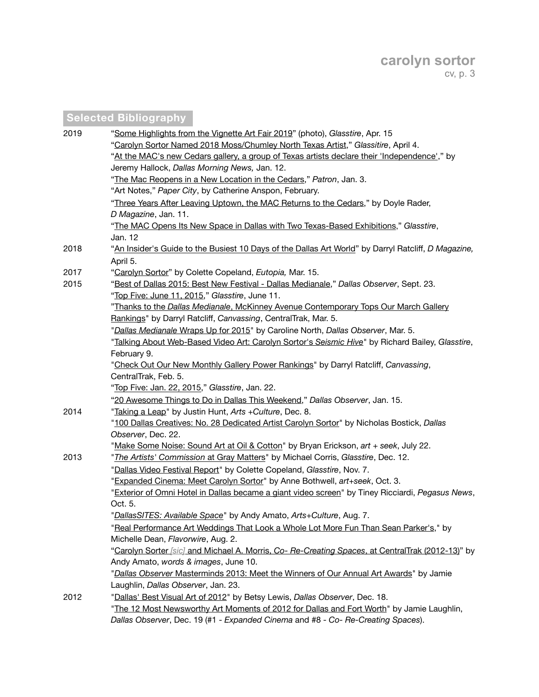# **Selected Bibliography**

| 2019 | "Some Highlights from the Vignette Art Fair 2019" (photo), Glasstire, Apr. 15                       |
|------|-----------------------------------------------------------------------------------------------------|
|      | "Carolyn Sortor Named 2018 Moss/Chumley North Texas Artist," Glassitire, April 4.                   |
|      | "At the MAC's new Cedars gallery, a group of Texas artists declare their 'Independence'," by        |
|      | Jeremy Hallock, Dallas Morning News, Jan. 12.                                                       |
|      | "The Mac Reopens in a New Location in the Cedars," Patron, Jan. 3.                                  |
|      | "Art Notes," Paper City, by Catherine Anspon, February.                                             |
|      | "Three Years After Leaving Uptown, the MAC Returns to the Cedars," by Doyle Rader,                  |
|      | D Magazine, Jan. 11.                                                                                |
|      | "The MAC Opens Its New Space in Dallas with Two Texas-Based Exhibitions," Glasstire,                |
|      | Jan. 12                                                                                             |
| 2018 | "An Insider's Guide to the Busiest 10 Days of the Dallas Art World" by Darryl Ratcliff, D Magazine, |
|      | April 5.                                                                                            |
| 2017 | "Carolyn Sortor" by Colette Copeland, Eutopia, Mar. 15.                                             |
| 2015 | "Best of Dallas 2015: Best New Festival - Dallas Medianale," Dallas Observer, Sept. 23.             |
|      | "Top Five: June 11, 2015," Glasstire, June 11.                                                      |
|      | "Thanks to the Dallas Medianale, McKinney Avenue Contemporary Tops Our March Gallery                |
|      | Rankings" by Darryl Ratcliff, Canvassing, CentralTrak, Mar. 5.                                      |
|      | "Dallas Medianale Wraps Up for 2015" by Caroline North, Dallas Observer, Mar. 5.                    |
|      | "Talking About Web-Based Video Art: Carolyn Sortor's Seismic Hive" by Richard Bailey, Glasstire,    |
|      | February 9.                                                                                         |
|      | "Check Out Our New Monthly Gallery Power Rankings" by Darryl Ratcliff, Canvassing,                  |
|      | CentralTrak, Feb. 5.                                                                                |
|      | "Top Five: Jan. 22, 2015," Glasstire, Jan. 22.                                                      |
|      | "20 Awesome Things to Do in Dallas This Weekend," Dallas Observer, Jan. 15.                         |
| 2014 | "Taking a Leap" by Justin Hunt, Arts + Culture, Dec. 8.                                             |
|      | "100 Dallas Creatives: No. 28 Dedicated Artist Carolyn Sortor" by Nicholas Bostick, Dallas          |
|      | Observer, Dec. 22.                                                                                  |
|      | "Make Some Noise: Sound Art at Oil & Cotton" by Bryan Erickson, art + seek, July 22.                |
| 2013 | "The Artists' Commission at Gray Matters" by Michael Corris, Glasstire, Dec. 12.                    |
|      | "Dallas Video Festival Report" by Colette Copeland, Glasstire, Nov. 7.                              |
|      | "Expanded Cinema: Meet Carolyn Sortor" by Anne Bothwell, art+seek, Oct. 3.                          |
|      | "Exterior of Omni Hotel in Dallas became a giant video screen" by Tiney Ricciardi, Pegasus News,    |
|      | Oct. 5.                                                                                             |
|      | "DallasSITES: Available Space" by Andy Amato, Arts+Culture, Aug. 7.                                 |
|      | "Real Performance Art Weddings That Look a Whole Lot More Fun Than Sean Parker's," by               |
|      | Michelle Dean, Flavorwire, Aug. 2.                                                                  |
|      | "Carolyn Sorter [sic] and Michael A. Morris, Co- Re-Creating Spaces, at CentralTrak (2012-13)" by   |
|      | Andy Amato, words & images, June 10.                                                                |
|      | "Dallas Observer Masterminds 2013: Meet the Winners of Our Annual Art Awards" by Jamie              |
|      | Laughlin, Dallas Observer, Jan. 23.                                                                 |
| 2012 | "Dallas' Best Visual Art of 2012" by Betsy Lewis, Dallas Observer, Dec. 18.                         |
|      | "The 12 Most Newsworthy Art Moments of 2012 for Dallas and Fort Worth" by Jamie Laughlin,           |
|      | Dallas Observer, Dec. 19 (#1 - Expanded Cinema and #8 - Co- Re-Creating Spaces).                    |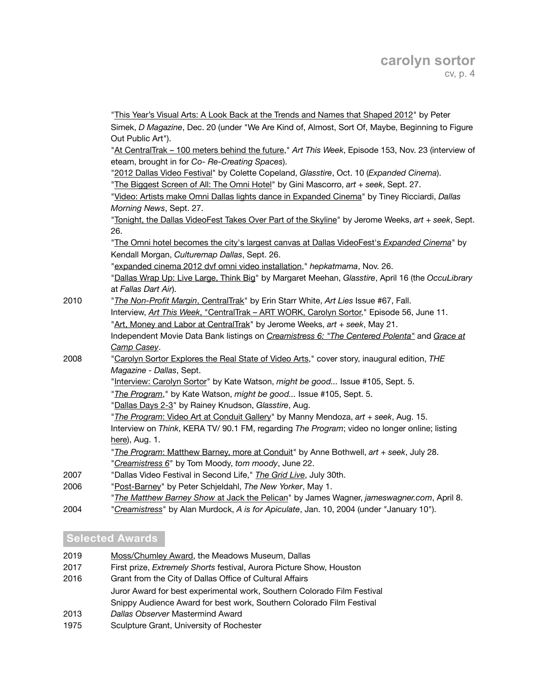|      | "This Year's Visual Arts: A Look Back at the Trends and Names that Shaped 2012" by Peter                                |
|------|-------------------------------------------------------------------------------------------------------------------------|
|      |                                                                                                                         |
|      | Simek, D Magazine, Dec. 20 (under "We Are Kind of, Almost, Sort Of, Maybe, Beginning to Figure<br>Out Public Art").     |
|      | "At CentralTrak - 100 meters behind the future," Art This Week, Episode 153, Nov. 23 (interview of                      |
|      | eteam, brought in for Co- Re-Creating Spaces).                                                                          |
|      | "2012 Dallas Video Festival" by Colette Copeland, Glasstire, Oct. 10 (Expanded Cinema).                                 |
|      | "The Biggest Screen of All: The Omni Hotel" by Gini Mascorro, art + seek, Sept. 27.                                     |
|      | "Video: Artists make Omni Dallas lights dance in Expanded Cinema" by Tiney Ricciardi, Dallas                            |
|      | Morning News, Sept. 27.                                                                                                 |
|      | "Tonight, the Dallas VideoFest Takes Over Part of the Skyline" by Jerome Weeks, art + seek, Sept.                       |
|      | 26.                                                                                                                     |
|      | "The Omni hotel becomes the city's largest canvas at Dallas VideoFest's Expanded Cinema" by                             |
|      | Kendall Morgan, Culturemap Dallas, Sept. 26.                                                                            |
|      | "expanded cinema 2012 dvf omni video installation," hepkatmama, Nov. 26.                                                |
|      | "Dallas Wrap Up: Live Large, Think Big" by Margaret Meehan, Glasstire, April 16 (the OccuLibrary                        |
|      | at Fallas Dart Air).                                                                                                    |
| 2010 | "The Non-Profit Margin, CentralTrak" by Erin Starr White, Art Lies Issue #67, Fall.                                     |
|      | Interview, Art This Week, "CentralTrak - ART WORK, Carolyn Sortor," Episode 56, June 11.                                |
|      | "Art, Money and Labor at CentralTrak" by Jerome Weeks, art + seek, May 21.                                              |
|      | Independent Movie Data Bank listings on Creamistress 6: "The Centered Polenta" and Grace at                             |
|      | Camp Casey.                                                                                                             |
| 2008 | "Carolyn Sortor Explores the Real State of Video Arts," cover story, inaugural edition, THE<br>Magazine - Dallas, Sept. |
|      | "Interview: Carolyn Sortor" by Kate Watson, might be good Issue #105, Sept. 5.                                          |
|      | "The Program," by Kate Watson, might be good Issue #105, Sept. 5.                                                       |
|      | "Dallas Days 2-3" by Rainey Knudson, Glasstire, Aug.                                                                    |
|      | "The Program: Video Art at Conduit Gallery" by Manny Mendoza, art + seek, Aug. 15.                                      |
|      | Interview on Think, KERA TV/90.1 FM, regarding The Program; video no longer online; listing                             |
|      | here), Aug. 1.                                                                                                          |
|      | "The Program: Matthew Barney, more at Conduit" by Anne Bothwell, art + seek, July 28.                                   |
|      | "Creamistress 6" by Tom Moody, tom moody, June 22.                                                                      |
| 2007 | "Dallas Video Festival in Second Life," The Grid Live, July 30th.                                                       |
| 2006 | "Post-Barney" by Peter Schjeldahl, The New Yorker, May 1.                                                               |
|      | "The Matthew Barney Show at Jack the Pelican" by James Wagner, jameswagner.com, April 8.                                |
| 2004 | "Creamistress" by Alan Murdock, A is for Apiculate, Jan. 10, 2004 (under "January 10").                                 |
|      |                                                                                                                         |

### **Selected Awards**

| 2019 | Moss/Chumley Award, the Meadows Museum, Dallas                              |
|------|-----------------------------------------------------------------------------|
|      |                                                                             |
| 2017 | First prize, <i>Extremely Shorts</i> festival, Aurora Picture Show, Houston |
| 2016 | Grant from the City of Dallas Office of Cultural Affairs                    |
|      | Juror Award for best experimental work, Southern Colorado Film Festival     |
|      | Snippy Audience Award for best work, Southern Colorado Film Festival        |

- 2013 *Dallas Observer* Mastermind Award
- 1975 Sculpture Grant, University of Rochester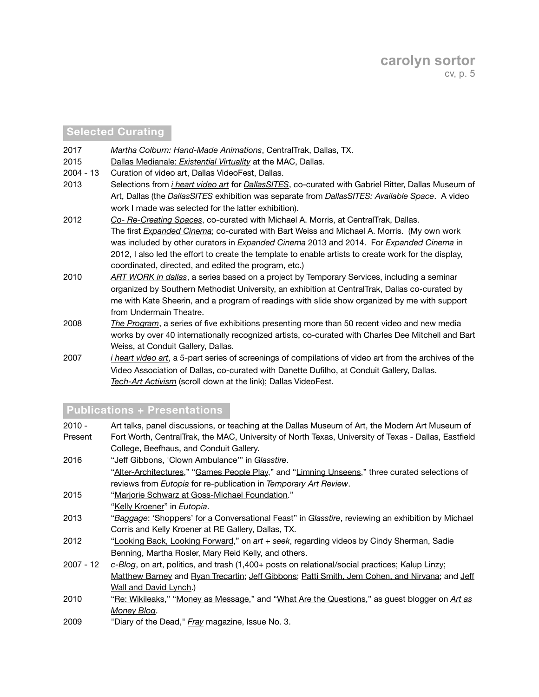### **Selected Curating**

- 2017 *Martha Colburn: Hand-Made Animations*, CentralTrak, Dallas, TX.
- 2015 Dallas Medianale: *[Existential Virtuality](http://www.c-cyte.com/Dallas_Medianale_2015/Schedule_2015-02-28.html)* at the MAC, Dallas.
- 2004 13 Curation of video art, Dallas VideoFest, Dallas.
- 2013 Selections from *[i heart video art](http://www.c-cyte.com/acrobat_docs/I_Heart_Video_Art_Schedule.pdf)* for *[DallasSITES](http://www.dma.org/art/exhibition-archive/dallassites-charting-contemporary-art-1963-present)*, co-curated with Gabriel Ritter, Dallas Museum of Art, Dallas (the *DallasSITES* exhibition was separate from *DallasSITES: Available Space*. A video work I made was selected for the latter exhibition).
- 2012 *[Co- Re-Creating Spaces](http://co-re-creatingspaces.tumblr.com/)*, co-curated with Michael A. Morris, at CentralTrak, Dallas. The first *[Expanded Cinema](https://www.facebook.com/ExpandedCinema)*; co-curated with Bart Weiss and Michael A. Morris. (My own work was included by other curators in *Expanded Cinema* 2013 and 2014. For *Expanded Cinema* in 2012, I also led the effort to create the template to enable artists to create work for the display, coordinated, directed, and edited the program, etc.)
- 2010 *[ART WORK in dallas](http://c-cyte.blogspot.com/2010/05/mark-your-calenders-art-work-in-dallas.html)*, a series based on a project by Temporary Services, including a seminar organized by Southern Methodist University, an exhibition at CentralTrak, Dallas co-curated by me with Kate Sheerin, and a program of readings with slide show organized by me with support from Undermain Theatre.
- 2008 *[The Program](http://c-cyte.blogspot.com/2008/07/update-program_22.html)*, a series of five exhibitions presenting more than 50 recent video and new media works by over 40 internationally recognized artists, co-curated with Charles Dee Mitchell and Bart Weiss, at Conduit Gallery, Dallas.
- 2007 *[i heart video art](http://www.c-cyte.com/acrobat_docs/I_Heart_Video_Art_Schedule.pdf)*, a 5-part series of screenings of compilations of video art from the archives of the Video Association of Dallas, co-curated with Danette Dufilho, at Conduit Gallery, Dallas. *[Tech-Art Activism](http://c-cyte.blogspot.com/2007/07/some-picks-from-next-dvf-731-85.html)* (scroll down at the link); Dallas VideoFest.

### **Publications + Presentations**

2010 - Art talks, panel discussions, or teaching at the Dallas Museum of Art, the Modern Art Museum of Present Fort Worth, CentralTrak, the MAC, University of North Texas, University of Texas - Dallas, Eastfield College, Beefhaus, and Conduit Gallery. 2016 "Jeff [Gibbons, 'Clown Ambulance'](http://glasstire.com/2016/12/24/jeff-gibbons-at-conduit-gallery/)" in *Glasstire*. ["Alter-Architectures,](http://temporaryartreview.com/alter-architectures/)" ["Games People Play,](http://temporaryartreview.com/games-people-play/)" and "[Limning Unseens](http://temporaryartreview.com/eutopia-limning-unseens/)," three curated selections of reviews from *Eutopia* for re-publication in *Temporary Art Review*. 2015 ["Marjorie Schwarz at Goss-Michael Foundation.](http://c-cyte.blogspot.com/2015/09/marjorie-schwarz-at-goss-michael.html)" ["Kelly Kroener"](http://eutopia.us/kelly-kroener/) in *Eutopia*. 2013 "*Baggage*[: 'Shoppers' for a Conversational Feast"](http://glasstire.com/2013/12/29/baggage-shoppers-for-a-conversational-feast-at-re-gallery/) in *Glasstire*, reviewing an exhibition by Michael Corris and Kelly Kroener at RE Gallery, Dallas, TX. 2012 ["Looking Back, Looking Forward](http://artandseek.net/2012/09/12/looking-back-looking-forward-carolyn-sortor/)," on *art + seek*, regarding videos by Cindy Sherman, Sadie Benning, Martha Rosler, Mary Reid Kelly, and others. 2007 - 12 *[c-Blog](http://c-cyte.blogspot.com/)*, on art, politics, and trash (1,400+ posts on relational/social practices; [Kalup Linzy](http://c-cyte.blogspot.com/2009/06/kalup-linzys-keys-to-our-heart.html); [Matthew Barney](http://c-cyte.blogspot.com/2008/07/update-program.html) and [Ryan Trecartin;](http://c-cyte.blogspot.com/2008/07/update-program.html) Jeff [Gibbon](http://c-cyte.blogspot.com/search?q=bridged)[s;](http://c-cyte.blogspot.com/2007/04/david-lynch-and-importance-of.html) [Patti Smith, Jem Cohen, and Nirvan](http://c-cyte.blogspot.com/2007/09/analysis-of-smithcohen-music-video-of.html)[a; and Je](http://c-cyte.blogspot.com/2007/04/david-lynch-and-importance-of.html)ff Wall and David Lynch.) 2010 ["](http://blog.artasmoney.com/blog)[Re: Wikileaks](http://blog.artasmoney.com/art-as-money/re-wikileaks/)[," "](http://blog.artasmoney.com/blog)[Money as Message](http://blog.artasmoney.com/art-as-money/money-as-message/)[," and "W](http://blog.artasmoney.com/blog)[hat Are the Question](http://blog.artasmoney.com/art-as-money/what-are-the-questions/)[s," as guest blogger on](http://blog.artasmoney.com/blog) *Art as Money Blog*.

2009 "Diary of the Dead," *[Fray](http://fray.com/)* magazine, Issue No. 3.